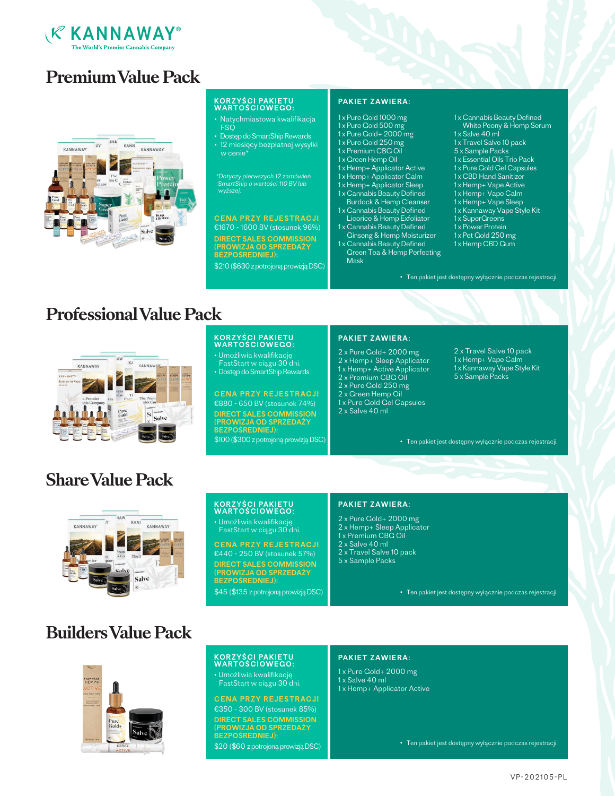

# **Premium Value Pack**



### KORZYŚCI PAKIETU<br>WARTOŚCIOWEGO:

- Natychmiastowa kwalifikacja FSQ **F**
- Dostęp do SmartShip Rewards • 12 miesięcy bezpłatnej wysyłki w cenie\*

\*Dotyczy pierwszych 12 zamówień SmartShip o wartości 110 BV lub wyższej.

### €1670 - 1600 BV (stosunek 96%) CENA PRZY REJESTRACJI

DIRECT SALES COMMISSION (PROWIZJA OD SPRZEDAŻY BEZPOŚREDNIEJ): \$210 (\$630 z potrojoną prowizją DSC)

KORZYŚCI PAKIETU<br>WARTOŚCIOWEGO: • Umożliwia kwalifikację FastStart w ciągu 30 dni. • Dostęp do SmartShip Rewards

#### PAKIET ZAWIERA:

- 1 x Pure Gold 1000 mg
- 1 x Pure Gold 500 mg 1 x Pure Gold+ 2000 mg
- 1 x Pure Gold 250 mg
- 1 x Premium CBG Oil
- 1 x Green Hemp Oil
- 1 x Hemp+ Applicator Active
- 1 x Hemp+ Applicator Calm
- 1 x Hemp+ Applicator Sleep
- 1 x Cannabis Beauty Defined Burdock & Hemp Cleanser 1 x Cannabis Beauty Defined
- Licorice & Hemp Exfoliator
- 1 x Cannabis Beauty Defined Ginseng & Hemp Moisturizer
- 1 x Cannabis Beauty Defined Green Tea & Hemp Perfecting Mask
- 1 x Cannabis Beauty Defined White Peony & Hemp Serum
- 1 x Salve 40 ml
- 1 x Travel Salve 10 pack
- 5 x Sample Packs
- 1 x Essential Oils Trio Pack
- 1 x Pure Gold Gel Capsules
- 1 x CBD Hand Sanitizer
- 1 x Hemp+ Vape Active 1 x Hemp+ Vape Calm
- 1 x Hemp+ Vape Sleep
- 1 x Kannaway Vape Style Kit
- 1 x SuperGreens
- 1 x Power Protein

• Ten pakiet jest dostępny wyłącznie podczas rejestracji.

- 1 x Pet Gold 250 mg 1 x Hemp CBD Gum
- 

**Professional Value Pack**



# **Share Value Pack**



### KORZYŚCI PAKIETU<br>WARTOŚCIOWEGO: • Umożliwia kwalifikację

FastStart w ciągu 30 dni.

€440 - 250 BV (stosunek 57%) CENA PRZY REJESTRACJI DIRECT SALES COMMISSION (PROWIZJA OD SPRZEDAŻY BEZPOŚREDNIEJ):

\$45 (\$135 z potrojoną prowizją DSC)

### PAKIET ZAWIERA:

- 2 x Pure Gold+ 2000 mg
- 2 x Hemp+ Sleep Applicator
- 1 x Premium CBG Oil 2 x Salve 40 ml
- 2 x Travel Salve 10 pack
- 5 x Sample Packs

• Ten pakiet jest dostępny wyłącznie podczas rejestracji.

# **Builders Value Pack**



### KORZYŚCI PAKIETU<br>WARTOŚCIOWEGO:

• Umożliwia kwalifikację FastStart w ciągu 30 dni.

#### CENA PRZY REJESTRACJI

€350 - 300 BV (stosunek 85%) DIRECT SALES COMMISSION (PROWIZJA OD SPRZEDAŻY BEZPOŚREDNIEJ): \$20 (\$60 z potrojoną prowizją DSC)

#### PAKIET ZAWIERA:

1 x Pure Gold+ 2000 mg 1 x Salve 40 ml 1 x Hemp+ Applicator Active

• Ten pakiet jest dostępny wyłącznie podczas rejestracji.

#### €880 - 650 BV (stosunek 74%) DIRECT SALES COMMISSION (PROWIZJA OD SPRZEDAŻY 2 x Salve 40 ml

BEZPOŚREDNIEJ): \$100 (\$300 z potrojoną prowizją DSC)

#### PAKIET ZAWIERA:

- 2 x Pure Gold+ 2000 mg
- 2 x Hemp+ Sleep Applicator
- 1 x Hemp+ Active Applicator 2 x Premium CBG Oil
- 2 x Pure Gold 250 mg
- 2 x Green Hemp Oil
- 1 x Pure Gold Gel Capsules

2 x Travel Salve 10 pack 1 x Hemp+ Vape Calm 1 x Kannaway Vape Style Kit 5 x Sample Packs

• Ten pakiet jest dostępny wyłącznie podczas rejestracji.